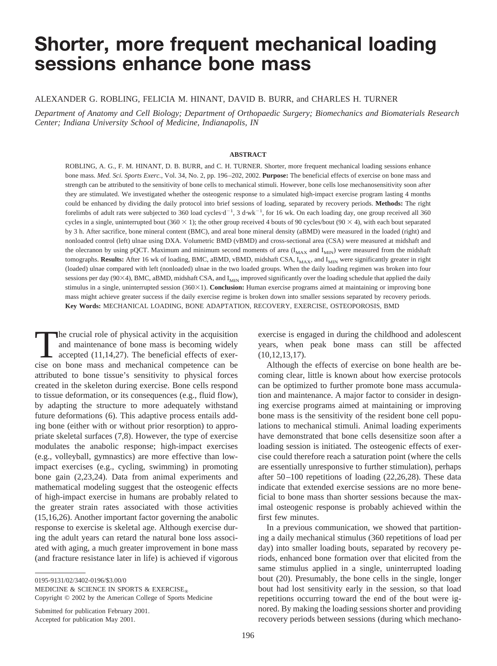# **Shorter, more frequent mechanical loading sessions enhance bone mass**

#### ALEXANDER G. ROBLING, FELICIA M. HINANT, DAVID B. BURR, and CHARLES H. TURNER

*Department of Anatomy and Cell Biology; Department of Orthopaedic Surgery; Biomechanics and Biomaterials Research Center; Indiana University School of Medicine, Indianapolis, IN*

#### **ABSTRACT**

ROBLING, A. G., F. M. HINANT, D. B. BURR, and C. H. TURNER. Shorter, more frequent mechanical loading sessions enhance bone mass. *Med. Sci. Sports Exerc.*, Vol. 34, No. 2, pp. 196–202, 2002. **Purpose:** The beneficial effects of exercise on bone mass and strength can be attributed to the sensitivity of bone cells to mechanical stimuli. However, bone cells lose mechanosensitivity soon after they are stimulated. We investigated whether the osteogenic response to a simulated high-impact exercise program lasting 4 months could be enhanced by dividing the daily protocol into brief sessions of loading, separated by recovery periods. **Methods:** The right forelimbs of adult rats were subjected to 360 load cycles $d^{-1}$ , 3 d·wk<sup>-1</sup>, for 16 wk. On each loading day, one group received all 360 cycles in a single, uninterrupted bout (360  $\times$  1); the other group received 4 bouts of 90 cycles/bout (90  $\times$  4), with each bout separated by 3 h. After sacrifice, bone mineral content (BMC), and areal bone mineral density (aBMD) were measured in the loaded (right) and nonloaded control (left) ulnae using DXA. Volumetric BMD (vBMD) and cross-sectional area (CSA) were measured at midshaft and the olecranon by using pQCT. Maximum and minimum second moments of area  $(I_{MAX}$  and  $I_{MIN}$ ) were measured from the midshaft tomographs. Results: After 16 wk of loading, BMC, aBMD, vBMD, midshaft CSA, I<sub>MAX</sub>, and I<sub>MIN</sub> were significantly greater in right (loaded) ulnae compared with left (nonloaded) ulnae in the two loaded groups. When the daily loading regimen was broken into four sessions per day (90 $\times$ 4), BMC, aBMD, midshaft CSA, and  $I_{\text{MIN}}$  improved significantly over the loading schedule that applied the daily stimulus in a single, uninterrupted session (360×1). **Conclusion:** Human exercise programs aimed at maintaining or improving bone mass might achieve greater success if the daily exercise regime is broken down into smaller sessions separated by recovery periods. **Key Words:** MECHANICAL LOADING, BONE ADAPTATION, RECOVERY, EXERCISE, OSTEOPOROSIS, BMD

The crucial role of physical activity in the acquisition<br>and maintenance of bone mass is becoming widely<br>accepted (11,14,27). The beneficial effects of exer-<br>cise on bone mass and mechanical competence can be and maintenance of bone mass is becoming widely cise on bone mass and mechanical competence can be attributed to bone tissue's sensitivity to physical forces created in the skeleton during exercise. Bone cells respond to tissue deformation, or its consequences (e.g., fluid flow), by adapting the structure to more adequately withstand future deformations (6). This adaptive process entails adding bone (either with or without prior resorption) to appropriate skeletal surfaces (7,8). However, the type of exercise modulates the anabolic response; high-impact exercises (e.g., volleyball, gymnastics) are more effective than lowimpact exercises (e.g., cycling, swimming) in promoting bone gain (2,23,24). Data from animal experiments and mathematical modeling suggest that the osteogenic effects of high-impact exercise in humans are probably related to the greater strain rates associated with those activities (15,16,26). Another important factor governing the anabolic response to exercise is skeletal age. Although exercise during the adult years can retard the natural bone loss associated with aging, a much greater improvement in bone mass (and fracture resistance later in life) is achieved if vigorous

0195-9131/02/3402-0196/\$3.00/0

MEDICINE & SCIENCE IN SPORTS & EXERCISE<sup>®</sup>

Copyright © 2002 by the American College of Sports Medicine

Submitted for publication February 2001. Accepted for publication May 2001.

exercise is engaged in during the childhood and adolescent years, when peak bone mass can still be affected (10,12,13,17).

Although the effects of exercise on bone health are becoming clear, little is known about how exercise protocols can be optimized to further promote bone mass accumulation and maintenance. A major factor to consider in designing exercise programs aimed at maintaining or improving bone mass is the sensitivity of the resident bone cell populations to mechanical stimuli. Animal loading experiments have demonstrated that bone cells desensitize soon after a loading session is initiated. The osteogenic effects of exercise could therefore reach a saturation point (where the cells are essentially unresponsive to further stimulation), perhaps after 50–100 repetitions of loading (22,26,28). These data indicate that extended exercise sessions are no more beneficial to bone mass than shorter sessions because the maximal osteogenic response is probably achieved within the first few minutes.

In a previous communication, we showed that partitioning a daily mechanical stimulus (360 repetitions of load per day) into smaller loading bouts, separated by recovery periods, enhanced bone formation over that elicited from the same stimulus applied in a single, uninterrupted loading bout (20). Presumably, the bone cells in the single, longer bout had lost sensitivity early in the session, so that load repetitions occurring toward the end of the bout were ignored. By making the loading sessions shorter and providing recovery periods between sessions (during which mechano-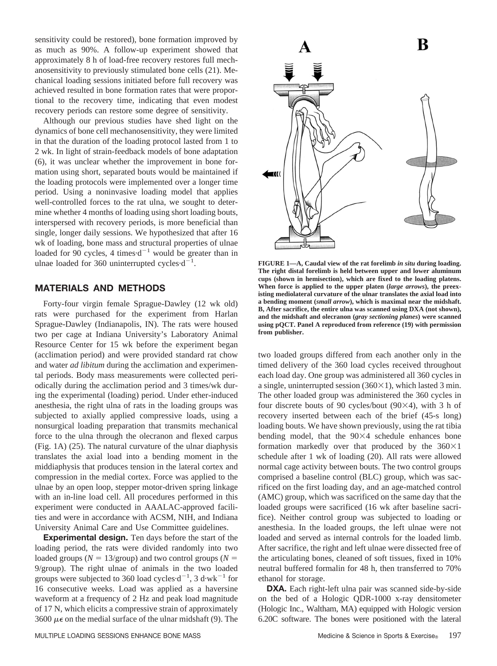sensitivity could be restored), bone formation improved by as much as 90%. A follow-up experiment showed that approximately 8 h of load-free recovery restores full mechanosensitivity to previously stimulated bone cells (21). Mechanical loading sessions initiated before full recovery was achieved resulted in bone formation rates that were proportional to the recovery time, indicating that even modest recovery periods can restore some degree of sensitivity.

Although our previous studies have shed light on the dynamics of bone cell mechanosensitivity, they were limited in that the duration of the loading protocol lasted from 1 to 2 wk. In light of strain-feedback models of bone adaptation (6), it was unclear whether the improvement in bone formation using short, separated bouts would be maintained if the loading protocols were implemented over a longer time period. Using a noninvasive loading model that applies well-controlled forces to the rat ulna, we sought to determine whether 4 months of loading using short loading bouts, interspersed with recovery periods, is more beneficial than single, longer daily sessions. We hypothesized that after 16 wk of loading, bone mass and structural properties of ulnae loaded for 90 cycles, 4 times $d^{-1}$  would be greater than in ulnae loaded for 360 uninterrupted cycles $d^{-1}$ .

### **MATERIALS AND METHODS**

Forty-four virgin female Sprague-Dawley (12 wk old) rats were purchased for the experiment from Harlan Sprague-Dawley (Indianapolis, IN). The rats were housed two per cage at Indiana University's Laboratory Animal Resource Center for 15 wk before the experiment began (acclimation period) and were provided standard rat chow and water *ad libitum* during the acclimation and experimental periods. Body mass measurements were collected periodically during the acclimation period and 3 times/wk during the experimental (loading) period. Under ether-induced anesthesia, the right ulna of rats in the loading groups was subjected to axially applied compressive loads, using a nonsurgical loading preparation that transmits mechanical force to the ulna through the olecranon and flexed carpus (Fig. 1A) (25). The natural curvature of the ulnar diaphysis translates the axial load into a bending moment in the middiaphysis that produces tension in the lateral cortex and compression in the medial cortex. Force was applied to the ulnae by an open loop, stepper motor-driven spring linkage with an in-line load cell. All procedures performed in this experiment were conducted in AAALAC-approved facilities and were in accordance with ACSM, NIH, and Indiana University Animal Care and Use Committee guidelines.

**Experimental design.** Ten days before the start of the loading period, the rats were divided randomly into two loaded groups ( $N = 13$ /group) and two control groups ( $N = 13$ 9/group). The right ulnae of animals in the two loaded groups were subjected to 360 load cycles $\cdot d^{-1}$ , 3 d $\cdot$ wk<sup>-1</sup> for 16 consecutive weeks. Load was applied as a haversine waveform at a frequency of 2 Hz and peak load magnitude of 17 N, which elicits a compressive strain of approximately 3600  $\mu\epsilon$  on the medial surface of the ulnar midshaft (9). The



**FIGURE 1—A, Caudal view of the rat forelimb** *in situ* **during loading. The right distal forelimb is held between upper and lower aluminum cups (shown in hemisection), which are fixed to the loading platens. When force is applied to the upper platen (***large arrows***), the preexisting mediolateral curvature of the ulnar translates the axial load into a bending moment (***small arrow***), which is maximal near the midshaft. B, After sacrifice, the entire ulna was scanned using DXA (not shown), and the midshaft and olecranon (***gray sectioning planes***) were scanned using pQCT. Panel A reproduced from reference (19) with permission from publisher.**

two loaded groups differed from each another only in the timed delivery of the 360 load cycles received throughout each load day. One group was administered all 360 cycles in a single, uninterrupted session  $(360\times1)$ , which lasted 3 min. The other loaded group was administered the 360 cycles in four discrete bouts of 90 cycles/bout  $(90\times4)$ , with 3 h of recovery inserted between each of the brief (45-s long) loading bouts. We have shown previously, using the rat tibia bending model, that the  $90\times4$  schedule enhances bone formation markedly over that produced by the  $360\times1$ schedule after 1 wk of loading (20). All rats were allowed normal cage activity between bouts. The two control groups comprised a baseline control (BLC) group, which was sacrificed on the first loading day, and an age-matched control (AMC) group, which was sacrificed on the same day that the loaded groups were sacrificed (16 wk after baseline sacrifice). Neither control group was subjected to loading or anesthesia. In the loaded groups, the left ulnae were not loaded and served as internal controls for the loaded limb. After sacrifice, the right and left ulnae were dissected free of the articulating bones, cleaned of soft tissues, fixed in 10% neutral buffered formalin for 48 h, then transferred to 70% ethanol for storage.

**DXA.** Each right-left ulna pair was scanned side-by-side on the bed of a Hologic QDR-1000 x-ray densitometer (Hologic Inc., Waltham, MA) equipped with Hologic version 6.20C software. The bones were positioned with the lateral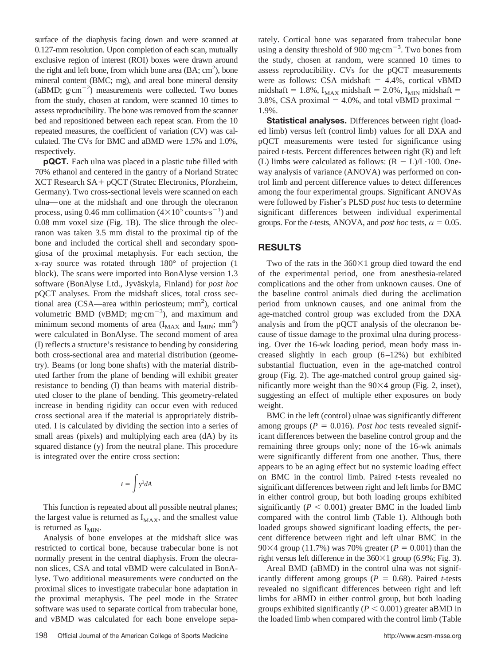surface of the diaphysis facing down and were scanned at 0.127-mm resolution. Upon completion of each scan, mutually exclusive region of interest (ROI) boxes were drawn around the right and left bone, from which bone area  $(BA; cm<sup>2</sup>)$ , bone mineral content (BMC; mg), and areal bone mineral density (aBMD;  $g \cdot cm^{-2}$ ) measurements were collected. Two bones from the study, chosen at random, were scanned 10 times to assess reproducibility. The bone was removed from the scanner bed and repositioned between each repeat scan. From the 10 repeated measures, the coefficient of variation (CV) was calculated. The CVs for BMC and aBMD were 1.5% and 1.0%, respectively.

**pQCT.** Each ulna was placed in a plastic tube filled with 70% ethanol and centered in the gantry of a Norland Stratec  $XCT$  Research  $SA + pQCT$  (Stratec Electronics, Pforzheim, Germany). Two cross-sectional levels were scanned on each ulna—one at the midshaft and one through the olecranon process, using 0.46 mm collimation  $(4\times10^5 \text{ counts} \cdot \text{s}^{-1})$  and 0.08 mm voxel size (Fig. 1B). The slice through the olecranon was taken 3.5 mm distal to the proximal tip of the bone and included the cortical shell and secondary spongiosa of the proximal metaphysis. For each section, the x-ray source was rotated through 180° of projection (1 block). The scans were imported into BonAlyse version 1.3 software (BonAlyse Ltd., Jyväskyla, Finland) for *post hoc* pQCT analyses. From the midshaft slices, total cross sectional area (CSA—area within periosteum; mm<sup>2</sup>), cortical volumetric BMD ( $vBMD$ ; mg·cm<sup>-3</sup>), and maximum and minimum second moments of area  $(I_{MAX}$  and  $I_{MIN}$ ; mm<sup>4</sup>) were calculated in BonAlyse. The second moment of area (I) reflects a structure's resistance to bending by considering both cross-sectional area and material distribution (geometry). Beams (or long bone shafts) with the material distributed farther from the plane of bending will exhibit greater resistance to bending (I) than beams with material distributed closer to the plane of bending. This geometry-related increase in bending rigidity can occur even with reduced cross sectional area if the material is appropriately distributed. I is calculated by dividing the section into a series of small areas (pixels) and multiplying each area (dA) by its squared distance (y) from the neutral plane. This procedure is integrated over the entire cross section:

$$
I = \int y^2 dA
$$

This function is repeated about all possible neutral planes; the largest value is returned as  $I_{MAX}$ , and the smallest value is returned as  $I_{MIN}$ .

Analysis of bone envelopes at the midshaft slice was restricted to cortical bone, because trabecular bone is not normally present in the central diaphysis. From the olecranon slices, CSA and total vBMD were calculated in BonAlyse. Two additional measurements were conducted on the proximal slices to investigate trabecular bone adaptation in the proximal metaphysis. The peel mode in the Stratec software was used to separate cortical from trabecular bone, and vBMD was calculated for each bone envelope separately. Cortical bone was separated from trabecular bone using a density threshold of  $900 \text{ mg} \cdot \text{cm}^{-3}$ . Two bones from the study, chosen at random, were scanned 10 times to assess reproducibility. CVs for the pQCT measurements were as follows: CSA midshaft  $= 4.4\%$ , cortical vBMD midshaft = 1.8%,  $I_{MAX}$  midshaft = 2.0%,  $I_{MIN}$  midshaft = 3.8%, CSA proximal  $=$  4.0%, and total vBMD proximal  $=$ 1.9%.

**Statistical analyses.** Differences between right (loaded limb) versus left (control limb) values for all DXA and pQCT measurements were tested for significance using paired *t*-tests. Percent differences between right (R) and left (L) limbs were calculated as follows:  $(R - L)/L \cdot 100$ . Oneway analysis of variance (ANOVA) was performed on control limb and percent difference values to detect differences among the four experimental groups. Significant ANOVAs were followed by Fisher's PLSD *post hoc* tests to determine significant differences between individual experimental groups. For the *t*-tests, ANOVA, and *post hoc* tests,  $\alpha = 0.05$ .

## **RESULTS**

Two of the rats in the  $360\times1$  group died toward the end of the experimental period, one from anesthesia-related complications and the other from unknown causes. One of the baseline control animals died during the acclimation period from unknown causes, and one animal from the age-matched control group was excluded from the DXA analysis and from the pQCT analysis of the olecranon because of tissue damage to the proximal ulna during processing. Over the 16-wk loading period, mean body mass increased slightly in each group (6–12%) but exhibited substantial fluctuation, even in the age-matched control group (Fig. 2). The age-matched control group gained significantly more weight than the  $90\times4$  group (Fig. 2, inset), suggesting an effect of multiple ether exposures on body weight.

BMC in the left (control) ulnae was significantly different among groups ( $P = 0.016$ ). *Post hoc* tests revealed significant differences between the baseline control group and the remaining three groups only; none of the 16-wk animals were significantly different from one another. Thus, there appears to be an aging effect but no systemic loading effect on BMC in the control limb. Paired *t*-tests revealed no significant differences between right and left limbs for BMC in either control group, but both loading groups exhibited significantly ( $P < 0.001$ ) greater BMC in the loaded limb compared with the control limb (Table 1). Although both loaded groups showed significant loading effects, the percent difference between right and left ulnar BMC in the 90 $\times$ 4 group (11.7%) was 70% greater ( $P = 0.001$ ) than the right versus left difference in the  $360\times1$  group (6.9%; Fig. 3).

Areal BMD (aBMD) in the control ulna was not significantly different among groups ( $P = 0.68$ ). Paired *t*-tests revealed no significant differences between right and left limbs for aBMD in either control group, but both loading groups exhibited significantly  $(P < 0.001)$  greater aBMD in the loaded limb when compared with the control limb (Table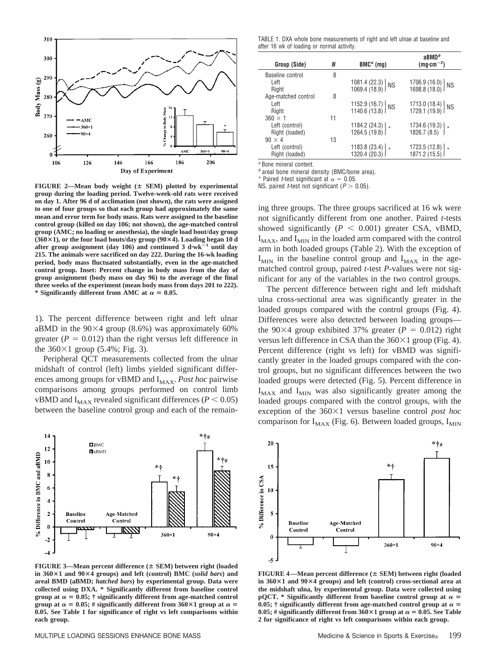

FIGURE 2-Mean body weight ( $\pm$  SEM) plotted by experimental **group during the loading period. Twelve-week-old rats were received on day 1. After 96 d of acclimation (not shown), the rats were assigned to one of four groups so that each group had approximately the same mean and error term for body mass. Rats were assigned to the baseline control group (killed on day 106; not shown), the age-matched control group (AMC; no loading or anesthesia), the single load bout/day group (360**-**1), or the four load bouts/day group (90**-**4). Loading began 10 d** after group assignment (day 106) and continued  $3 \text{ d·wk}^{-1}$  until day **215. The animals were sacrificed on day 222. During the 16-wk loading period, body mass fluctuated substantially, even in the age-matched control group. Inset: Percent change in body mass from the day of group assignment (body mass on day 96) to the average of the final three weeks of the experiment (mean body mass from days 201 to 222).** \* Significantly different from AMC at  $\alpha = 0.05$ .

1). The percent difference between right and left ulnar aBMD in the  $90\times4$  group (8.6%) was approximately 60% greater ( $P = 0.012$ ) than the right versus left difference in the  $360 \times 1$  group (5.4%; Fig. 3).

Peripheral QCT measurements collected from the ulnar midshaft of control (left) limbs yielded significant differences among groups for vBMD and I<sub>MAX</sub>. Post hoc pairwise comparisons among groups performed on control limb vBMD and  $I_{MAX}$  revealed significant differences ( $P < 0.05$ ) between the baseline control group and each of the remain-



**FIGURE 3—Mean percent difference ( SEM) between right (loaded in 360**-**1 and 90**-**4 groups) and left (control) BMC (***solid bars***) and areal BMD (aBMD;** *hatched bars***) by experimental group. Data were collected using DXA. \* Significantly different from baseline control group at**  $\alpha = 0.05$ ;  $\dagger$  **significantly different from age-matched control** group at  $\alpha = 0.05$ ; # significantly different from 360×1 group at  $\alpha =$ **0.05. See Table 1 for significance of right vs left comparisons within each group.**

TABLE 1. DXA whole bone measurements of right and left ulnae at baseline and after 16 wk of loading or normal activity.

| Group (Side)        | Ν  | $BMCa$ (mg)                                                                                            | $a$ BMD $b$<br>$(mg \cdot cm^{-2})$                                                 |
|---------------------|----|--------------------------------------------------------------------------------------------------------|-------------------------------------------------------------------------------------|
| Baseline control    | 8  |                                                                                                        |                                                                                     |
| Left                |    | $\left\{\n \begin{array}{l}\n 1081.4 & (22.3) \\ 1069.4 & (18.9)\n \end{array}\n \right\}\n \text{NS}$ | $\left\{\n \begin{array}{l}\n 1706.9 \\ 1698.8 \\ 18.0\n \end{array}\n \right\}$ NS |
| Right               |    |                                                                                                        |                                                                                     |
| Age-matched control | 8  |                                                                                                        |                                                                                     |
| Left                |    | $\left\{ \begin{array}{c} 1152.9 \\ 1140.6 \\ 13.8 \end{array} \right\}$ NS                            | $\left\{ \frac{1713.0}{1729.1}, \frac{18.4}{19.9} \right\}$ NS                      |
| Right               |    |                                                                                                        |                                                                                     |
| $360 \times 1$      | 11 |                                                                                                        |                                                                                     |
| Left (control)      |    | $1184.2(24.3)$ $\left\{ \right.$ $\left. 1264.5(19.8) \right\}$ *                                      | $1734.6(19.3)$ * 1826.7 (8.5)                                                       |
| Right (loaded)      |    |                                                                                                        |                                                                                     |
| $90 \times 4$       | 13 |                                                                                                        |                                                                                     |
| Left (control)      |    | $1183.8(23.4)$ * 1320.4 (20.3)                                                                         | 1723.5 (12.8) } *<br>1871.2 (15.5) }                                                |
| Right (loaded)      |    |                                                                                                        |                                                                                     |

*<sup>a</sup>* Bone mineral content.

*<sup>b</sup>* areal bone mineral density (BMC/bone area).

\* Paired *t*-test significant at  $\alpha = 0.05$ .

NS, paired *t*-test not significant ( $P > 0.05$ ).

ing three groups. The three groups sacrificed at 16 wk were not significantly different from one another. Paired *t*-tests showed significantly  $(P < 0.001)$  greater CSA, vBMD,  $I_{MAX}$ , and  $I_{MIN}$  in the loaded arm compared with the control arm in both loaded groups (Table 2). With the exception of  $I_{MIN}$  in the baseline control group and  $I_{MAX}$  in the agematched control group, paired *t*-test *P*-values were not significant for any of the variables in the two control groups.

The percent difference between right and left midshaft ulna cross-sectional area was significantly greater in the loaded groups compared with the control groups (Fig. 4). Differences were also detected between loading groups the  $90\times4$  group exhibited 37% greater ( $P = 0.012$ ) right versus left difference in CSA than the  $360\times1$  group (Fig. 4). Percent difference (right vs left) for vBMD was significantly greater in the loaded groups compared with the control groups, but no significant differences between the two loaded groups were detected (Fig. 5). Percent difference in  $I_{MAX}$  and  $I_{MIN}$  was also significantly greater among the loaded groups compared with the control groups, with the exception of the 360×1 versus baseline control *post hoc* comparison for  $I_{MAX}$  (Fig. 6). Between loaded groups,  $I_{MIN}$ 



**FIGURE 4—Mean percent difference ( SEM) between right (loaded in 360**-**1 and 90**-**4 groups) and left (control) cross-sectional area at the midshaft ulna, by experimental group. Data were collected using pQCT.** \* Significantly different from baseline control group at  $\alpha$  = 0.05;  $\dagger$  significantly different from age-matched control group at  $\alpha$  =  $0.05$ ; # significantly different from  $360 \times 1$  group at  $\alpha = 0.05$ . See Table **2 for significance of right vs left comparisons within each group.**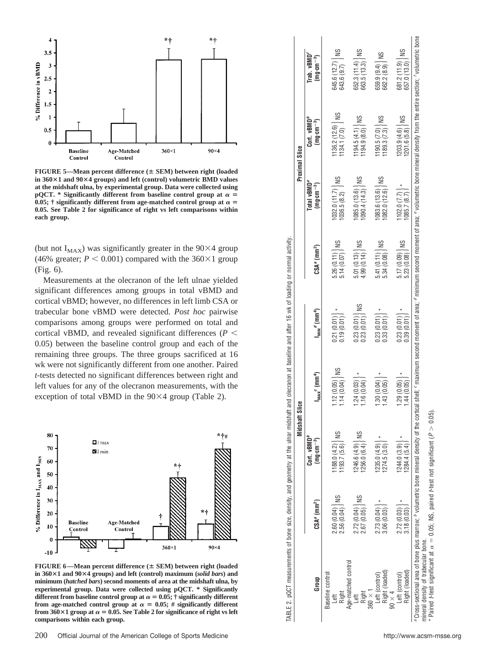

**FIGURE 5—Mean percent difference ( SEM) between right (loaded in 360**-**1 and 90**-**4 groups) and left (control) volumetric BMD values at the midshaft ulna, by experimental group. Data were collected using pQCT.** \* Significantly different from baseline control group at  $\alpha$  = 0.05;  $\dagger$  significantly different from age-matched control group at  $\alpha$  = **0.05. See Table 2 for significance of right vs left comparisons within each group.**

(but not  $I_{MAX}$ ) was significantly greater in the 90 $\times$ 4 group (46% greater;  $P < 0.001$ ) compared with the 360 $\times$ 1 group (Fig. 6).

Measurements at the olecranon of the left ulnae yielded significant differences among groups in total vBMD and cortical vBMD; however, no differences in left limb CSA or trabecular bone vBMD were detected. *Post hoc* pairwise comparisons among groups were performed on total and cortical vBMD, and revealed significant differences (*P* 0.05) between the baseline control group and each of the remaining three groups. The three groups sacrificed at 16 wk were not significantly different from one another. Paired *t*-tests detected no significant differences between right and left values for any of the olecranon measurements, with the exception of total vBMD in the  $90\times4$  group (Table 2).



**FIGURE 6—Mean percent difference ( SEM) between right (loaded in 360**-**1 and 90**-**4 groups) and left (control) maximum (***solid bars***) and minimum (***hatched bars***) second moments of area at the midshaft ulna, by experimental group. Data were collected using pQCT. \* Significantly different from baseline control group at**  $\alpha = 0.05$ ;  $\dagger$  **significantly different** from age-matched control group at  $\alpha = 0.05$ ; # significantly different from  $360 \times 1$  group at  $\alpha = 0.05$ . See Table 2 for significance of right vs left **comparisons within each group.**

|                     |                                            | Midshaft                                  | Slice                                                                           |                                                                                                                        |                                                              |                                                                    | Proximal Slice                                                                |                                        |
|---------------------|--------------------------------------------|-------------------------------------------|---------------------------------------------------------------------------------|------------------------------------------------------------------------------------------------------------------------|--------------------------------------------------------------|--------------------------------------------------------------------|-------------------------------------------------------------------------------|----------------------------------------|
|                     |                                            | $Cont.$ $vBMDb$                           |                                                                                 |                                                                                                                        |                                                              | Total vBMD <sup>e</sup>                                            | Cort. vBMD <sup>b</sup>                                                       | Trab.vBMD'                             |
| Group               | CSA <sup>a</sup> (mm <sup>2</sup> )        | $(mg\cdot cm^{-3})$                       | $I_{MAX}$ <sup>e</sup> (mm <sup>4</sup> )                                       | $1_{\text{min}}$ <sup>a</sup> (mm <sup>4</sup> )                                                                       | $CSAa$ (mm <sup>2</sup> )                                    | $(mg \cdot cm^{-3})$                                               | $(mg\text{-}cm^{-3})$                                                         | $(mg\cdot cm^{-3})$                    |
| Baseline control    |                                            |                                           |                                                                                 |                                                                                                                        |                                                              |                                                                    |                                                                               |                                        |
| eft.                |                                            |                                           |                                                                                 |                                                                                                                        |                                                              |                                                                    |                                                                               |                                        |
| Right               | SN<br>$2.60(0.04)$   N<br>$2.56(0.04)$   N | $\frac{1188.0(4.2)}{1193.7(5.6)}$ NS      | $\frac{1}{2}$<br>$\begin{pmatrix} 1.12 & (0.05) \\ 1.14 & (0.04) \end{pmatrix}$ | $\left[ \begin{array}{c} 0.21 \ 0.010 \end{array} \right]$ * $\left[ \begin{array}{c} 0.01 \ 0.19 \end{array} \right]$ | $5.26(0.11)$ NS<br>$5.14(0.07)$ /NS                          | $1032.0(11.7)$ NS<br>$1036.5(8.2)$                                 | $\left[\frac{136.2}{134.1}\right]\right)$ NS                                  | $645.6(12.7)$   NS<br>643.6 (9.7)      |
| Age-matched control |                                            |                                           |                                                                                 |                                                                                                                        |                                                              |                                                                    |                                                                               |                                        |
| Left                | SN                                         |                                           | 1.24(0.03)                                                                      |                                                                                                                        |                                                              | (3.6)                                                              |                                                                               |                                        |
| Right               | 2.72(0.04)                                 | $1246.6(4.9)$ $\bigg\}$ N<br>1256.0 (6.4) | 1.16(0.04)                                                                      | $\begin{bmatrix} 0.23 & 0.01 \\ 0.23 & 0.01 \end{bmatrix}$                                                             | $\begin{array}{c} 5.01 (0.13) \\ 4.99 (0.14) \end{array}$ NS | 1090.4(14.3)                                                       | $\begin{bmatrix} 1194.5 & (4.1) \\ 1194.9 & (8.0) \end{bmatrix}$ NS           | 652.3 (11.4)   NS<br>663.5 (13.3)   NS |
| $360 \times 1$      |                                            |                                           |                                                                                 |                                                                                                                        |                                                              |                                                                    |                                                                               |                                        |
| Left (control)      | 2.73(0.04)                                 | (235.0(4.9))                              | .30(0.04)                                                                       | 0.23(0.01)                                                                                                             | $5.41(0.11)$ NS                                              | $\begin{bmatrix} 1083.6 & (13.6) \\ 1082.0 & (12.6) \end{bmatrix}$ | $\left[\begin{array}{c} 190.5 \ (7.0) \\ 189.3 \ (7.3) \end{array}\right]$ NS | SN<br>659.9(9.4)                       |
| Right (loaded)      |                                            | [274.5(3.0)]                              | .43(0.05)                                                                       | 0.33(0.01)                                                                                                             | 5.34(0.08)                                                   |                                                                    |                                                                               |                                        |
| $90 \times 4$       |                                            |                                           |                                                                                 |                                                                                                                        |                                                              |                                                                    |                                                                               |                                        |
| Left (control)      | 2.72(0.03)                                 | 1244.0(3.9)                               | 29(0.05)                                                                        | $0.23(0.01)$   $*$                                                                                                     |                                                              | $102.0$ $(7.7)$ $\vert$ $*$                                        |                                                                               |                                        |
| Right (loaded)      | 3.18(0.03)                                 | 284.4(5.4)                                | .44(0.05)                                                                       | 0.39(0.01)                                                                                                             | $\frac{5.17(0.09)}{5.23(0.08)}$ NS                           | 085.7(8.7)                                                         | $\begin{bmatrix} 203.9 & (4.6) \\ 201.6 & (5.8) \end{bmatrix}$ NS             | 681.2 (11.9)   NS<br>657.0 (13.0)   NS |

mineral density of trabecular bone.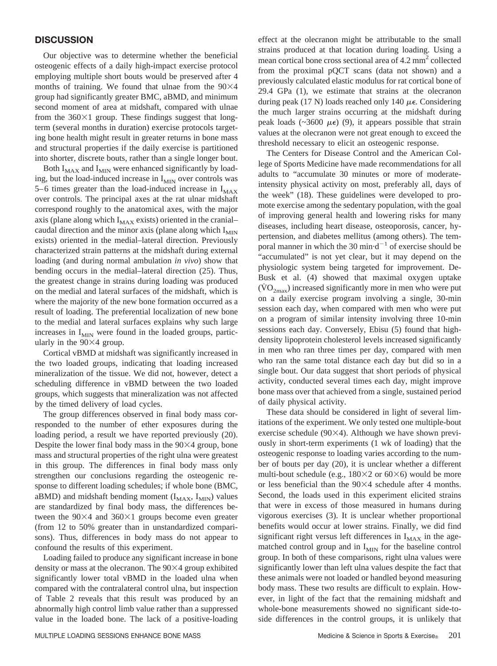## **DISCUSSION**

Our objective was to determine whether the beneficial osteogenic effects of a daily high-impact exercise protocol employing multiple short bouts would be preserved after 4 months of training. We found that ulnae from the  $90\times4$ group had significantly greater BMC, aBMD, and minimum second moment of area at midshaft, compared with ulnae from the  $360\times1$  group. These findings suggest that longterm (several months in duration) exercise protocols targeting bone health might result in greater returns in bone mass and structural properties if the daily exercise is partitioned into shorter, discrete bouts, rather than a single longer bout.

Both  $I_{MAX}$  and  $I_{MIN}$  were enhanced significantly by loading, but the load-induced increase in  $I_{MIN}$  over controls was 5–6 times greater than the load-induced increase in  $I_{MAX}$ over controls. The principal axes at the rat ulnar midshaft correspond roughly to the anatomical axes, with the major axis (plane along which  $I_{MAX}$  exists) oriented in the cranial– caudal direction and the minor axis (plane along which  $I_{MIN}$ ) exists) oriented in the medial–lateral direction. Previously characterized strain patterns at the midshaft during external loading (and during normal ambulation *in vivo*) show that bending occurs in the medial–lateral direction (25). Thus, the greatest change in strains during loading was produced on the medial and lateral surfaces of the midshaft, which is where the majority of the new bone formation occurred as a result of loading. The preferential localization of new bone to the medial and lateral surfaces explains why such large increases in  $I_{MIN}$  were found in the loaded groups, particularly in the  $90\times4$  group.

Cortical vBMD at midshaft was significantly increased in the two loaded groups, indicating that loading increased mineralization of the tissue. We did not, however, detect a scheduling difference in vBMD between the two loaded groups, which suggests that mineralization was not affected by the timed delivery of load cycles.

The group differences observed in final body mass corresponded to the number of ether exposures during the loading period, a result we have reported previously (20). Despite the lower final body mass in the  $90\times4$  group, bone mass and structural properties of the right ulna were greatest in this group. The differences in final body mass only strengthen our conclusions regarding the osteogenic response to different loading schedules; if whole bone (BMC, aBMD) and midshaft bending moment  $(I_{MAX}, I_{MIN})$  values are standardized by final body mass, the differences between the  $90\times4$  and  $360\times1$  groups become even greater (from 12 to 50% greater than in unstandardized comparisons). Thus, differences in body mass do not appear to confound the results of this experiment.

Loading failed to produce any significant increase in bone density or mass at the olecranon. The  $90\times4$  group exhibited significantly lower total vBMD in the loaded ulna when compared with the contralateral control ulna, but inspection of Table 2 reveals that this result was produced by an abnormally high control limb value rather than a suppressed value in the loaded bone. The lack of a positive-loading effect at the olecranon might be attributable to the small strains produced at that location during loading. Using a mean cortical bone cross sectional area of 4.2 mm<sup>2</sup> collected from the proximal pQCT scans (data not shown) and a previously calculated elastic modulus for rat cortical bone of 29.4 GPa (1), we estimate that strains at the olecranon during peak (17 N) loads reached only 140  $\mu\epsilon$ . Considering the much larger strains occurring at the midshaft during peak loads ( $\sim$ 3600  $\mu$  $\epsilon$ ) (9), it appears possible that strain values at the olecranon were not great enough to exceed the threshold necessary to elicit an osteogenic response.

The Centers for Disease Control and the American College of Sports Medicine have made recommendations for all adults to "accumulate 30 minutes or more of moderateintensity physical activity on most, preferably all, days of the week" (18). These guidelines were developed to promote exercise among the sedentary population, with the goal of improving general health and lowering risks for many diseases, including heart disease, osteoporosis, cancer, hypertension, and diabetes mellitus (among others). The temporal manner in which the 30 min $\cdot d^{-1}$  of exercise should be "accumulated" is not yet clear, but it may depend on the physiologic system being targeted for improvement. De-Busk et al. (4) showed that maximal oxygen uptake  $(\text{VO}_{2\text{max}})$  increased significantly more in men who were put on a daily exercise program involving a single, 30-min session each day, when compared with men who were put on a program of similar intensity involving three 10-min sessions each day. Conversely, Ebisu (5) found that highdensity lipoprotein cholesterol levels increased significantly in men who ran three times per day, compared with men who ran the same total distance each day but did so in a single bout. Our data suggest that short periods of physical activity, conducted several times each day, might improve bone mass over that achieved from a single, sustained period of daily physical activity.

These data should be considered in light of several limitations of the experiment. We only tested one multiple-bout exercise schedule ( $90\times4$ ). Although we have shown previously in short-term experiments (1 wk of loading) that the osteogenic response to loading varies according to the number of bouts per day (20), it is unclear whether a different multi-bout schedule (e.g.,  $180\times2$  or 60 $\times$ 6) would be more or less beneficial than the  $90\times4$  schedule after 4 months. Second, the loads used in this experiment elicited strains that were in excess of those measured in humans during vigorous exercises (3). It is unclear whether proportional benefits would occur at lower strains. Finally, we did find significant right versus left differences in  $I_{MAX}$  in the agematched control group and in  $I_{MIN}$  for the baseline control group. In both of these comparisons, right ulna values were significantly lower than left ulna values despite the fact that these animals were not loaded or handled beyond measuring body mass. These two results are difficult to explain. However, in light of the fact that the remaining midshaft and whole-bone measurements showed no significant side-toside differences in the control groups, it is unlikely that